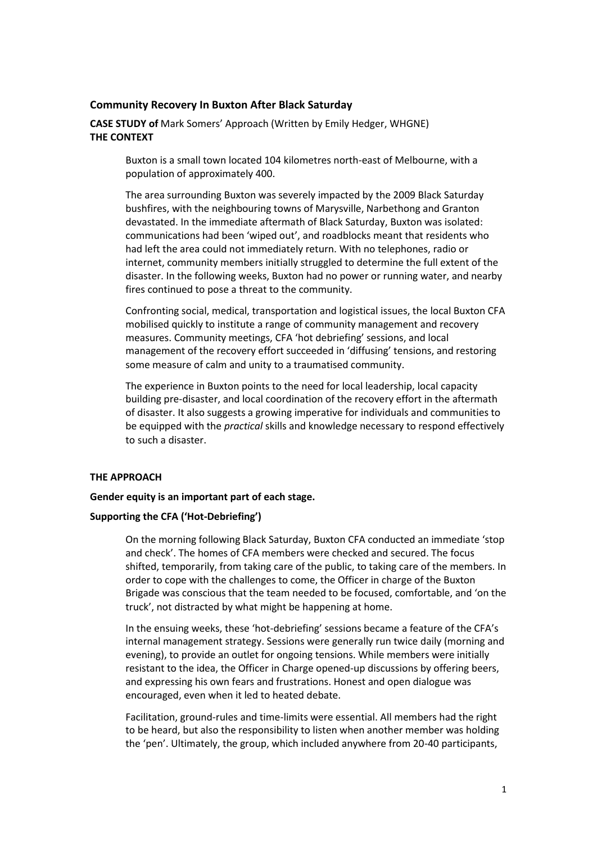### **Community Recovery In Buxton After Black Saturday**

**CASE STUDY of** Mark Somers' Approach (Written by Emily Hedger, WHGNE) **THE CONTEXT**

> Buxton is a small town located 104 kilometres north-east of Melbourne, with a population of approximately 400.

The area surrounding Buxton was severely impacted by the 2009 Black Saturday bushfires, with the neighbouring towns of Marysville, Narbethong and Granton devastated. In the immediate aftermath of Black Saturday, Buxton was isolated: communications had been 'wiped out', and roadblocks meant that residents who had left the area could not immediately return. With no telephones, radio or internet, community members initially struggled to determine the full extent of the disaster. In the following weeks, Buxton had no power or running water, and nearby fires continued to pose a threat to the community.

Confronting social, medical, transportation and logistical issues, the local Buxton CFA mobilised quickly to institute a range of community management and recovery measures. Community meetings, CFA 'hot debriefing' sessions, and local management of the recovery effort succeeded in 'diffusing' tensions, and restoring some measure of calm and unity to a traumatised community.

The experience in Buxton points to the need for local leadership, local capacity building pre-disaster, and local coordination of the recovery effort in the aftermath of disaster. It also suggests a growing imperative for individuals and communities to be equipped with the *practical* skills and knowledge necessary to respond effectively to such a disaster.

## **THE APPROACH**

#### **Gender equity is an important part of each stage.**

#### **Supporting the CFA ('Hot-Debriefing')**

On the morning following Black Saturday, Buxton CFA conducted an immediate 'stop and check'. The homes of CFA members were checked and secured. The focus shifted, temporarily, from taking care of the public, to taking care of the members. In order to cope with the challenges to come, the Officer in charge of the Buxton Brigade was conscious that the team needed to be focused, comfortable, and 'on the truck', not distracted by what might be happening at home.

In the ensuing weeks, these 'hot-debriefing' sessions became a feature of the CFA's internal management strategy. Sessions were generally run twice daily (morning and evening), to provide an outlet for ongoing tensions. While members were initially resistant to the idea, the Officer in Charge opened-up discussions by offering beers, and expressing his own fears and frustrations. Honest and open dialogue was encouraged, even when it led to heated debate.

Facilitation, ground-rules and time-limits were essential. All members had the right to be heard, but also the responsibility to listen when another member was holding the 'pen'. Ultimately, the group, which included anywhere from 20-40 participants,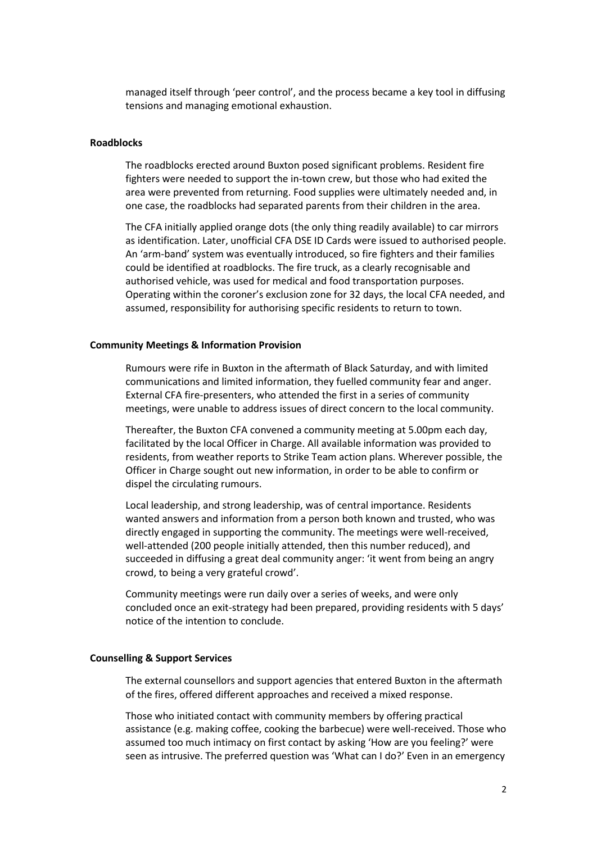managed itself through 'peer control', and the process became a key tool in diffusing tensions and managing emotional exhaustion.

#### **Roadblocks**

The roadblocks erected around Buxton posed significant problems. Resident fire fighters were needed to support the in-town crew, but those who had exited the area were prevented from returning. Food supplies were ultimately needed and, in one case, the roadblocks had separated parents from their children in the area.

The CFA initially applied orange dots (the only thing readily available) to car mirrors as identification. Later, unofficial CFA DSE ID Cards were issued to authorised people. An 'arm-band' system was eventually introduced, so fire fighters and their families could be identified at roadblocks. The fire truck, as a clearly recognisable and authorised vehicle, was used for medical and food transportation purposes. Operating within the coroner's exclusion zone for 32 days, the local CFA needed, and assumed, responsibility for authorising specific residents to return to town.

#### **Community Meetings & Information Provision**

Rumours were rife in Buxton in the aftermath of Black Saturday, and with limited communications and limited information, they fuelled community fear and anger. External CFA fire-presenters, who attended the first in a series of community meetings, were unable to address issues of direct concern to the local community.

Thereafter, the Buxton CFA convened a community meeting at 5.00pm each day, facilitated by the local Officer in Charge. All available information was provided to residents, from weather reports to Strike Team action plans. Wherever possible, the Officer in Charge sought out new information, in order to be able to confirm or dispel the circulating rumours.

Local leadership, and strong leadership, was of central importance. Residents wanted answers and information from a person both known and trusted, who was directly engaged in supporting the community. The meetings were well-received, well-attended (200 people initially attended, then this number reduced), and succeeded in diffusing a great deal community anger: 'it went from being an angry crowd, to being a very grateful crowd'.

Community meetings were run daily over a series of weeks, and were only concluded once an exit-strategy had been prepared, providing residents with 5 days' notice of the intention to conclude.

### **Counselling & Support Services**

The external counsellors and support agencies that entered Buxton in the aftermath of the fires, offered different approaches and received a mixed response.

Those who initiated contact with community members by offering practical assistance (e.g. making coffee, cooking the barbecue) were well-received. Those who assumed too much intimacy on first contact by asking 'How are you feeling?' were seen as intrusive. The preferred question was 'What can I do?' Even in an emergency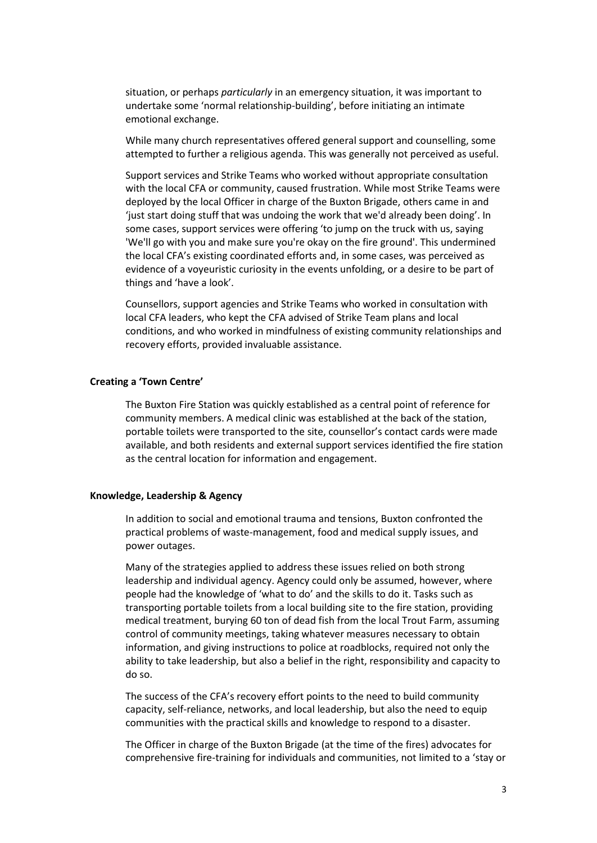situation, or perhaps *particularly* in an emergency situation, it was important to undertake some 'normal relationship-building', before initiating an intimate emotional exchange.

While many church representatives offered general support and counselling, some attempted to further a religious agenda. This was generally not perceived as useful.

Support services and Strike Teams who worked without appropriate consultation with the local CFA or community, caused frustration. While most Strike Teams were deployed by the local Officer in charge of the Buxton Brigade, others came in and 'just start doing stuff that was undoing the work that we'd already been doing'. In some cases, support services were offering 'to jump on the truck with us, saying 'We'll go with you and make sure you're okay on the fire ground'. This undermined the local CFA's existing coordinated efforts and, in some cases, was perceived as evidence of a voyeuristic curiosity in the events unfolding, or a desire to be part of things and 'have a look'.

Counsellors, support agencies and Strike Teams who worked in consultation with local CFA leaders, who kept the CFA advised of Strike Team plans and local conditions, and who worked in mindfulness of existing community relationships and recovery efforts, provided invaluable assistance.

#### **Creating a 'Town Centre'**

The Buxton Fire Station was quickly established as a central point of reference for community members. A medical clinic was established at the back of the station, portable toilets were transported to the site, counsellor's contact cards were made available, and both residents and external support services identified the fire station as the central location for information and engagement.

#### **Knowledge, Leadership & Agency**

In addition to social and emotional trauma and tensions, Buxton confronted the practical problems of waste-management, food and medical supply issues, and power outages.

Many of the strategies applied to address these issues relied on both strong leadership and individual agency. Agency could only be assumed, however, where people had the knowledge of 'what to do' and the skills to do it. Tasks such as transporting portable toilets from a local building site to the fire station, providing medical treatment, burying 60 ton of dead fish from the local Trout Farm, assuming control of community meetings, taking whatever measures necessary to obtain information, and giving instructions to police at roadblocks, required not only the ability to take leadership, but also a belief in the right, responsibility and capacity to do so.

The success of the CFA's recovery effort points to the need to build community capacity, self-reliance, networks, and local leadership, but also the need to equip communities with the practical skills and knowledge to respond to a disaster.

The Officer in charge of the Buxton Brigade (at the time of the fires) advocates for comprehensive fire-training for individuals and communities, not limited to a 'stay or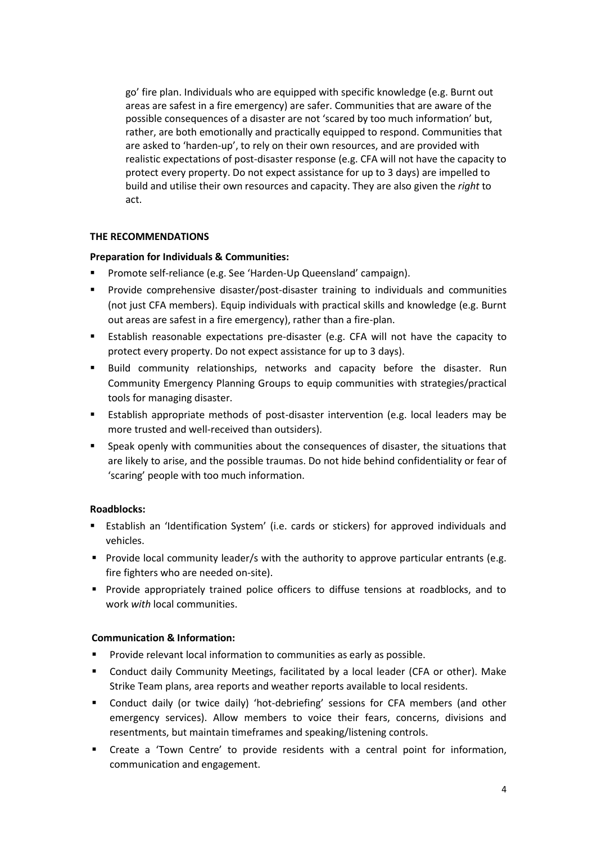go' fire plan. Individuals who are equipped with specific knowledge (e.g. Burnt out areas are safest in a fire emergency) are safer. Communities that are aware of the possible consequences of a disaster are not 'scared by too much information' but, rather, are both emotionally and practically equipped to respond. Communities that are asked to 'harden-up', to rely on their own resources, and are provided with realistic expectations of post-disaster response (e.g. CFA will not have the capacity to protect every property. Do not expect assistance for up to 3 days) are impelled to build and utilise their own resources and capacity. They are also given the *right* to act.

## **THE RECOMMENDATIONS**

# **Preparation for Individuals & Communities:**

- Promote self-reliance (e.g. See 'Harden-Up Queensland' campaign).
- Provide comprehensive disaster/post-disaster training to individuals and communities (not just CFA members). Equip individuals with practical skills and knowledge (e.g. Burnt out areas are safest in a fire emergency), rather than a fire-plan.
- Establish reasonable expectations pre-disaster (e.g. CFA will not have the capacity to protect every property. Do not expect assistance for up to 3 days).
- Build community relationships, networks and capacity before the disaster. Run Community Emergency Planning Groups to equip communities with strategies/practical tools for managing disaster.
- Establish appropriate methods of post-disaster intervention (e.g. local leaders may be more trusted and well-received than outsiders).
- Speak openly with communities about the consequences of disaster, the situations that are likely to arise, and the possible traumas. Do not hide behind confidentiality or fear of 'scaring' people with too much information.

# **Roadblocks:**

- Establish an 'Identification System' (i.e. cards or stickers) for approved individuals and vehicles.
- **Provide local community leader/s with the authority to approve particular entrants (e.g.** fire fighters who are needed on-site).
- Provide appropriately trained police officers to diffuse tensions at roadblocks, and to work *with* local communities.

# **Communication & Information:**

- Provide relevant local information to communities as early as possible.
- Conduct daily Community Meetings, facilitated by a local leader (CFA or other). Make Strike Team plans, area reports and weather reports available to local residents.
- Conduct daily (or twice daily) 'hot-debriefing' sessions for CFA members (and other emergency services). Allow members to voice their fears, concerns, divisions and resentments, but maintain timeframes and speaking/listening controls.
- Create a 'Town Centre' to provide residents with a central point for information, communication and engagement.